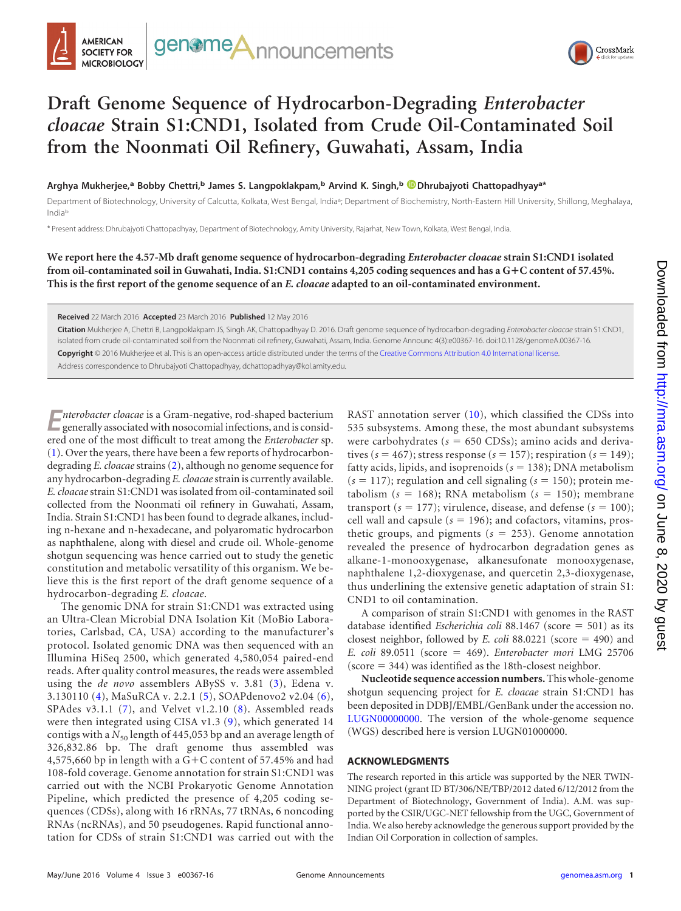



## **Draft Genome Sequence of Hydrocarbon-Degrading** *Enterobacter cloacae* **Strain S1:CND1, Isolated from Crude Oil-Contaminated Soil from the Noonmati Oil Refinery, Guwahati, Assam, India**

**Arghya Mukherjee,<sup>a</sup> Bobby Chettri,<sup>b</sup> James S. Langpoklakpam,<sup>b</sup> Arvind K. Singh,<sup>b</sup> Dhrubajyoti Chattopadhyaya\***

Department of Biotechnology, University of Calcutta, Kolkata, West Bengal, India<sup>a</sup>; Department of Biochemistry, North-Eastern Hill University, Shillong, Meghalaya, Indiab

\* Present address: Dhrubajyoti Chattopadhyay, Department of Biotechnology, Amity University, Rajarhat, New Town, Kolkata, West Bengal, India.

**We report here the 4.57-Mb draft genome sequence of hydrocarbon-degrading** *Enterobacter cloacae* **strain S1:CND1 isolated from oil-contaminated soil in Guwahati, India. S1:CND1 contains 4,205 coding sequences and has a G**-**C content of 57.45%. This is the first report of the genome sequence of an** *E. cloacae* **adapted to an oil-contaminated environment.**

**Received** 22 March 2016 **Accepted** 23 March 2016 **Published** 12 May 2016

**Citation** Mukherjee A, Chettri B, Langpoklakpam JS, Singh AK, Chattopadhyay D. 2016. Draft genome sequence of hydrocarbon-degrading *Enterobacter cloacae* strain S1:CND1, isolated from crude oil-contaminated soil from the Noonmati oil refinery, Guwahati, Assam, India. Genome Announc 4(3):e00367-16. doi:10.1128/genomeA.00367-16. **Copyright** © 2016 Mukherjee et al. This is an open-access article distributed under the terms of the Creative Commons Attribution 4.0 International license. Address correspondence to Dhrubajyoti Chattopadhyay, dchattopadhyay@kol.amity.edu.

**E***nterobacter cloacae* is a Gram-negative, rod-shaped bacterium generally associated with nosocomial infections, and is considered one of the most difficult to treat among the *Enterobacter* sp. [\(1\)](#page-1-0). Over the years, there have been a few reports of hydrocarbondegrading *E. cloacae*strains [\(2\)](#page-1-1), although no genome sequence for any hydrocarbon-degrading *E. cloacae*strain is currently available. *E. cloacae*strain S1:CND1 was isolated from oil-contaminated soil collected from the Noonmati oil refinery in Guwahati, Assam, India. Strain S1:CND1 has been found to degrade alkanes, includas naphthalene, along with diesel and crude oil. Whole-genome

ing n-hexane and n-hexadecane, and polyaromatic hydrocarbon shotgun sequencing was hence carried out to study the genetic constitution and metabolic versatility of this organism. We believe this is the first report of the draft genome sequence of a hydrocarbon-degrading *E. cloacae*. The genomic DNA for strain S1:CND1 was extracted using

an Ultra-Clean Microbial DNA Isolation Kit (MoBio Laboratories, Carlsbad, CA, USA) according to the manufacturer's protocol. Isolated genomic DNA was then sequenced with an Illumina HiSeq 2500, which generated 4,580,054 paired-end reads. After quality control measures, the reads were assembled using the *de novo* assemblers ABySS v. 3.81 [\(3\)](#page-1-2), Edena v. 3.130110 [\(4\)](#page-1-3), MaSuRCA v. 2.2.1 [\(5\)](#page-1-4), SOAPdenovo2 v2.04 [\(6\)](#page-1-5), SPAdes v3.1.1 [\(7\)](#page-1-6), and Velvet v1.2.10 [\(8\)](#page-1-7). Assembled reads were then integrated using CISA v1.3 [\(9\)](#page-1-8), which generated 14 contigs with a  $N_{50}$  length of 445,053 bp and an average length of 326,832.86 bp. The draft genome thus assembled was 4,575,660 bp in length with a G+C content of 57.45% and had 108-fold coverage. Genome annotation for strain S1:CND1 was carried out with the NCBI Prokaryotic Genome Annotation Pipeline, which predicted the presence of 4,205 coding sequences (CDSs), along with 16 rRNAs, 77 tRNAs, 6 noncoding RNAs (ncRNAs), and 50 pseudogenes. Rapid functional annotation for CDSs of strain S1:CND1 was carried out with the

RAST annotation server [\(10\)](#page-1-9), which classified the CDSs into 535 subsystems. Among these, the most abundant subsystems were carbohydrates ( $s = 650$  CDSs); amino acids and derivatives ( $s = 467$ ); stress response ( $s = 157$ ); respiration ( $s = 149$ ); fatty acids, lipids, and isoprenoids  $(s = 138)$ ; DNA metabolism  $(s = 117)$ ; regulation and cell signaling  $(s = 150)$ ; protein metabolism  $(s = 168)$ ; RNA metabolism  $(s = 150)$ ; membrane transport ( $s = 177$ ); virulence, disease, and defense ( $s = 100$ ); cell wall and capsule  $(s = 196)$ ; and cofactors, vitamins, prosthetic groups, and pigments  $(s = 253)$ . Genome annotation revealed the presence of hydrocarbon degradation genes as alkane-1-monooxygenase, alkanesufonate monooxygenase, naphthalene 1,2-dioxygenase, and quercetin 2,3-dioxygenase, thus underlining the extensive genetic adaptation of strain S1: CND1 to oil contamination.

A comparison of strain S1:CND1 with genomes in the RAST database identified *Escherichia coli* 88.1467 (score = 501) as its closest neighbor, followed by *E. coli* 88.0221 (score  $=$  490) and *E. coli* 89.0511 (score 469). *Enterobacter mori* LMG 25706 (score  $= 344$ ) was identified as the 18th-closest neighbor.

**Nucleotide sequence accession numbers.**This whole-genome shotgun sequencing project for *E. cloacae* strain S1:CND1 has been deposited in DDBJ/EMBL/GenBank under the accession no. LUGN00000000. The version of the whole-genome sequence (WGS) described here is version LUGN01000000.

## **ACKNOWLEDGMENTS**

The research reported in this article was supported by the NER TWIN-NING project (grant ID BT/306/NE/TBP/2012 dated 6/12/2012 from the Department of Biotechnology, Government of India). A.M. was supported by the CSIR/UGC-NET fellowship from the UGC, Government of India. We also hereby acknowledge the generous support provided by the Indian Oil Corporation in collection of samples.